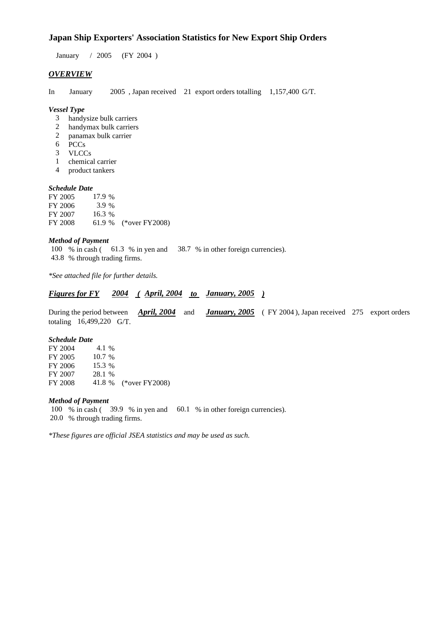## **Japan Ship Exporters' Association Statistics for New Export Ship Orders**

January / 2005 (FY 2004 )

## *OVERVIEW*

In January 2005 , Japan received 21 export orders totalling 1,157,400 G/T.

#### *Vessel Type*

- 3 handysize bulk carriers
- 2 handymax bulk carriers
- 2 panamax bulk carrier
- 6 PCCs
- 3 VLCCs
- 1 chemical carrier
- 4 product tankers

#### *Schedule Date*

| FY 2005 | 17.9%    |                       |
|---------|----------|-----------------------|
| FY 2006 | 3.9 %    |                       |
| FY 2007 | $16.3\%$ |                       |
| FY 2008 |          | 61.9 % (*over FY2008) |

#### *Method of Payment*

100 % in cash ( 61.3 % in yen and 38.7 % in other foreign currencies). 43.8 % through trading firms.

*\*See attached file for further details.*

## *Figures for FY 2004 ( April, 2004 to January, 2005 )*

During the period between *April, 2004* and *January, 2005* ( FY 2004 ), Japan received 275 export orders totaling 16,499,220 G/T.

#### *Schedule Date*

| FY 2004 | 4.1 %    |                       |
|---------|----------|-----------------------|
| FY 2005 | $10.7\%$ |                       |
| FY 2006 | 15.3 %   |                       |
| FY 2007 | 28.1 %   |                       |
| FY 2008 |          | 41.8 % (*over FY2008) |

#### *Method of Payment*

100 % in cash ( 39.9 % in yen and 60.1 % in other foreign currencies). 20.0 % through trading firms.

*\*These figures are official JSEA statistics and may be used as such.*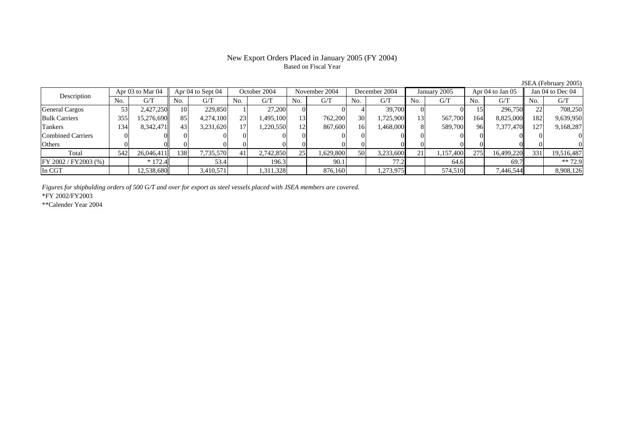## New Export Orders Placed in January 2005 (FY 2004) Based on Fiscal Year

 $\frac{\text{JSEA (February 2005)}}{\text{A\text{or }04 \text{ to Jan }05} \times \text{Jan }04 \text{ to Dec }04}$  $\Delta$ pr 03 to Mar 04  $\Delta$ pr 04 to Sept 04  $\Delta$  October 2004 November 2004 December 2004 January 2005

| Description              |     | ADI US tO MAI U4 |      | Apr 04 to Sept 04 |     | OCIODET 2004 |     | NOVEMDET 2004 |                 | December 2004 |     | January 2005 |     | Apr 04 to Jan 05 |      | Jan 04 to Dec 04 |
|--------------------------|-----|------------------|------|-------------------|-----|--------------|-----|---------------|-----------------|---------------|-----|--------------|-----|------------------|------|------------------|
|                          | No. | G/T              | No.  | G/T               | No. | G/T          | No. | G/T           | No.             | G/T           | No. | G/T          | No. | G/T              | No.  | G/T              |
| General Cargos           |     | 2,427,250        | 10   | 229,850           |     | 27.200       |     |               |                 | 39,700        |     |              |     | 296,750          |      | 708,250          |
| <b>Bulk Carriers</b>     | 355 | 15,276,690       | 85   | 4,274,100         | 23  | 1,495,100    | 13  | 762,200       | 30              | 1,725,900     | 131 | 567,700      | 164 | 8,825,000        | 182  | 9,639,950        |
| Tankers                  | 34  | 8,342,471        | 43   | 3,231,620         | 171 | ,220,550     | 12  | 867,600       | 16              | 1,468,000     |     | 589,700      | 96  | 7,377,470        | 127. | 9,168,287        |
| <b>Combined Carriers</b> |     |                  |      |                   |     |              |     |               |                 |               |     |              |     |                  |      |                  |
| Others                   |     |                  |      |                   |     |              |     |               |                 |               |     |              |     |                  |      |                  |
| Total                    | 542 | 26,046,411       | 1381 | 7,735,570         |     | 2,742,850    | 25  | 1,629,800     | 50 <sup>I</sup> | 3,233,600     | 21  | 1,157,400    | 275 | 16,499,220       | 331  | 19,516,487       |
| FY 2002 / FY 2003 (%)    |     | $* 172.4$        |      | 53.4              |     | 196.3        |     | 90.1          |                 |               |     | 64.6         |     | 69.7             |      | $** 72.9$        |
| In CGT                   |     | 12,538,680       |      | 3,410,571         |     | 1,311,328    |     | 876,160       |                 | 1,273,975     |     | 574,510      |     | 7,446,544        |      | 8,908,126        |

*Figures for shipbulding orders of 500 G/T and over for export as steel vessels placed with JSEA members are covered.*

\*FY 2002/FY2003

Г

\*\*Calender Year 2004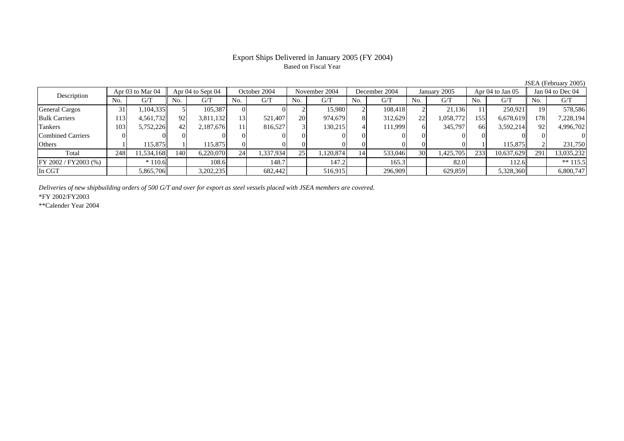#### Export Ships Delivered in January 2005 (FY 2004) Based on Fiscal Year

JSEA (February 2005)<br>
Jan 04 to Dec 04 Description Apr 03 to Mar 04 Apr 04 to Sept 04 October 2004 November 2004 December 2004 January 2005 Apr 04 to Jan 05 Jan 04 to Dec 04<br>No. 1 G/T No. 1 G/T No. 1 G/T No. 1 G/T No. 1 G/T No. 1 G/T No. 1 G/T No. 1 G/T No. 1 G No.  $G/T$  No. G/T No. G/T No. G/T No. G/T No. G/T No. G/T No. G/T General Cargos ( 31 | 1,104,335 | 5 | 105,387 | 0 | 0 | 2 | 15,980 | 2 | 108,418 | 2 | 21,136 | 11 | 250,921 |19 578,586 Bulk Carriers 1133| 4,561,732|| 92| 3,811,132| 13| 521,407| 20| 974,679| 8| 312,629| 22| 1,058,772| 155| 6,678,619|| 178| 7,228,194 Tankers 1033| 5,752,226|| 42| 2,187,676| 11| 816,527| 3| 130,215| 4| 111,999| 6| 345,797| 66| 3,592,214|| 92| 4,996,702 Combined Carriers 0 0 0 0 0 0 0 0 0 0 0 0 0 0 0 0 **Others** s and  $\vert$  1 1 115,875 1 115,875 0 0 0 0 0 0 0 0 0 1 115,875 2 231,750 Total 248 11,534,168 140 6,220,070 24 1,337,934 25 1,120,874 14 533,046 30 1,425,705 233 10,637,629 291 13,035,232 FY 2002 / FY2003 (%) \* 110.6 108.6 148.7 147.2 165.3 82.0 112.6 \*\* 115.5 In CGTT | | 5,865,706|| | 3,202,235| | 682,442| | 516,915| | 296,909| | 629,859| | 5,328,360|| | 6,800,747

*Deliveries of new shipbuilding orders of 500 G/T and over for export as steel vessels placed with JSEA members are covered.*

\*FY 2002/FY2003

\*\*Calender Year 2004